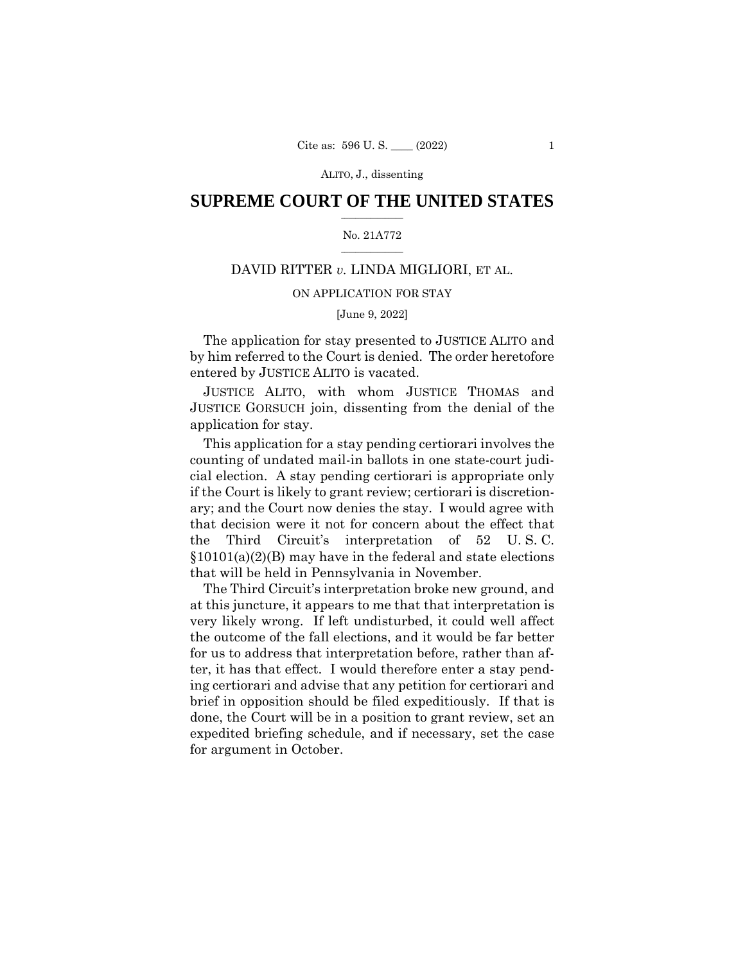## $\frac{1}{2}$  ,  $\frac{1}{2}$  ,  $\frac{1}{2}$  ,  $\frac{1}{2}$  ,  $\frac{1}{2}$  ,  $\frac{1}{2}$  ,  $\frac{1}{2}$ **SUPREME COURT OF THE UNITED STATES**

#### $\frac{1}{2}$  ,  $\frac{1}{2}$  ,  $\frac{1}{2}$  ,  $\frac{1}{2}$  ,  $\frac{1}{2}$  ,  $\frac{1}{2}$ No. 21A772

# DAVID RITTER *v.* LINDA MIGLIORI, ET AL.

## ON APPLICATION FOR STAY

### [June 9, 2022]

The application for stay presented to JUSTICE ALITO and by him referred to the Court is denied. The order heretofore entered by JUSTICE ALITO is vacated.

JUSTICE ALITO, with whom JUSTICE THOMAS and JUSTICE GORSUCH join, dissenting from the denial of the application for stay.

This application for a stay pending certiorari involves the counting of undated mail-in ballots in one state-court judicial election. A stay pending certiorari is appropriate only if the Court is likely to grant review; certiorari is discretionary; and the Court now denies the stay. I would agree with that decision were it not for concern about the effect that the Third Circuit's interpretation of 52 U. S. C. §10101(a)(2)(B) may have in the federal and state elections that will be held in Pennsylvania in November.

The Third Circuit's interpretation broke new ground, and at this juncture, it appears to me that that interpretation is very likely wrong. If left undisturbed, it could well affect the outcome of the fall elections, and it would be far better for us to address that interpretation before, rather than after, it has that effect. I would therefore enter a stay pending certiorari and advise that any petition for certiorari and brief in opposition should be filed expeditiously. If that is done, the Court will be in a position to grant review, set an expedited briefing schedule, and if necessary, set the case for argument in October.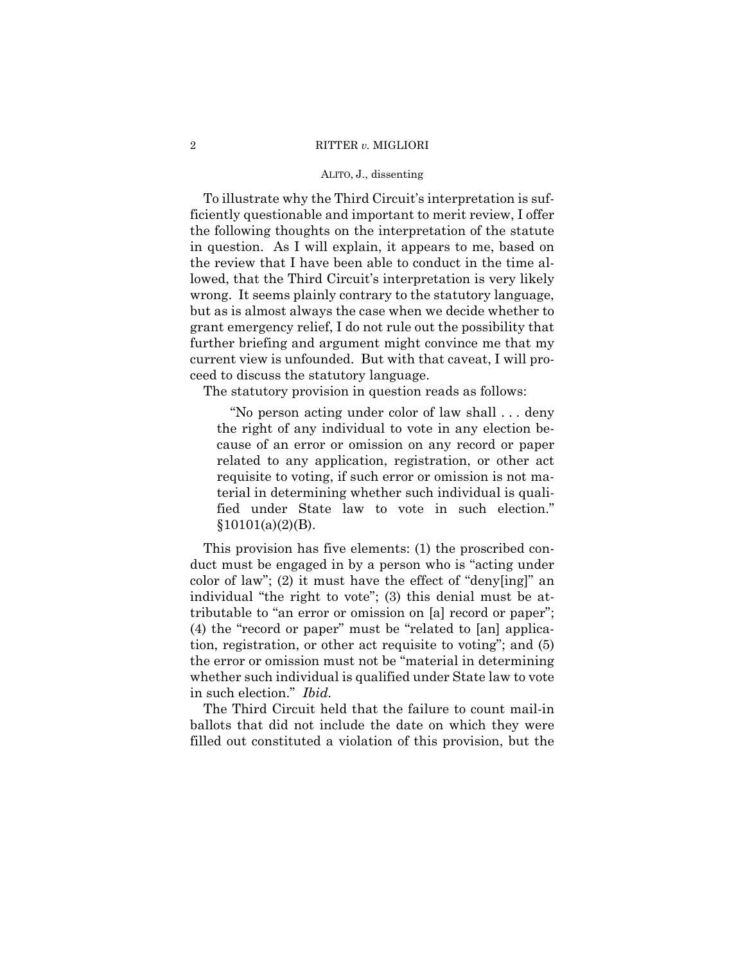## 2 RITTER *v.* MIGLIORI

#### ALITO, J., dissenting

To illustrate why the Third Circuit's interpretation is sufficiently questionable and important to merit review, I offer the following thoughts on the interpretation of the statute in question. As I will explain, it appears to me, based on the review that I have been able to conduct in the time allowed, that the Third Circuit's interpretation is very likely wrong. It seems plainly contrary to the statutory language, but as is almost always the case when we decide whether to grant emergency relief, I do not rule out the possibility that further briefing and argument might convince me that my current view is unfounded. But with that caveat, I will proceed to discuss the statutory language.

The statutory provision in question reads as follows:

"No person acting under color of law shall . . . deny the right of any individual to vote in any election because of an error or omission on any record or paper related to any application, registration, or other act requisite to voting, if such error or omission is not material in determining whether such individual is qualified under State law to vote in such election." §10101(a)(2)(B).

This provision has five elements: (1) the proscribed conduct must be engaged in by a person who is "acting under color of law"; (2) it must have the effect of "deny[ing]" an individual "the right to vote"; (3) this denial must be attributable to "an error or omission on [a] record or paper"; (4) the "record or paper" must be "related to [an] application, registration, or other act requisite to voting"; and (5) the error or omission must not be "material in determining whether such individual is qualified under State law to vote in such election." *Ibid.* 

The Third Circuit held that the failure to count mail-in ballots that did not include the date on which they were filled out constituted a violation of this provision, but the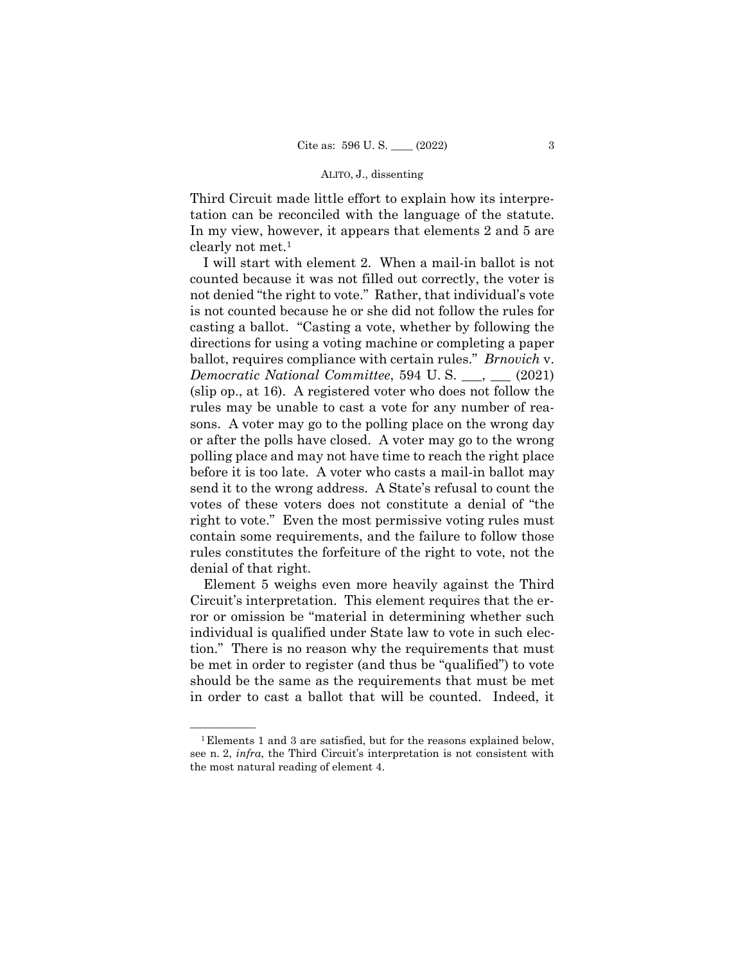Third Circuit made little effort to explain how its interpretation can be reconciled with the language of the statute. In my view, however, it appears that elements 2 and 5 are clearly not met.1

I will start with element 2. When a mail-in ballot is not counted because it was not filled out correctly, the voter is not denied "the right to vote." Rather, that individual's vote is not counted because he or she did not follow the rules for casting a ballot. "Casting a vote, whether by following the directions for using a voting machine or completing a paper ballot, requires compliance with certain rules." *Brnovich* v. *Democratic National Committee*, 594 U.S. \_\_\_, \_\_\_ (2021) (slip op., at 16). A registered voter who does not follow the rules may be unable to cast a vote for any number of reasons. A voter may go to the polling place on the wrong day or after the polls have closed. A voter may go to the wrong polling place and may not have time to reach the right place before it is too late. A voter who casts a mail-in ballot may send it to the wrong address. A State's refusal to count the votes of these voters does not constitute a denial of "the right to vote." Even the most permissive voting rules must contain some requirements, and the failure to follow those rules constitutes the forfeiture of the right to vote, not the denial of that right.

Element 5 weighs even more heavily against the Third Circuit's interpretation. This element requires that the error or omission be "material in determining whether such individual is qualified under State law to vote in such election." There is no reason why the requirements that must be met in order to register (and thus be "qualified") to vote should be the same as the requirements that must be met in order to cast a ballot that will be counted. Indeed, it

 $^1$ Elements 1 and 3 are satisfied, but for the reasons explained below, see n. 2, *infra*, the Third Circuit's interpretation is not consistent with the most natural reading of element 4.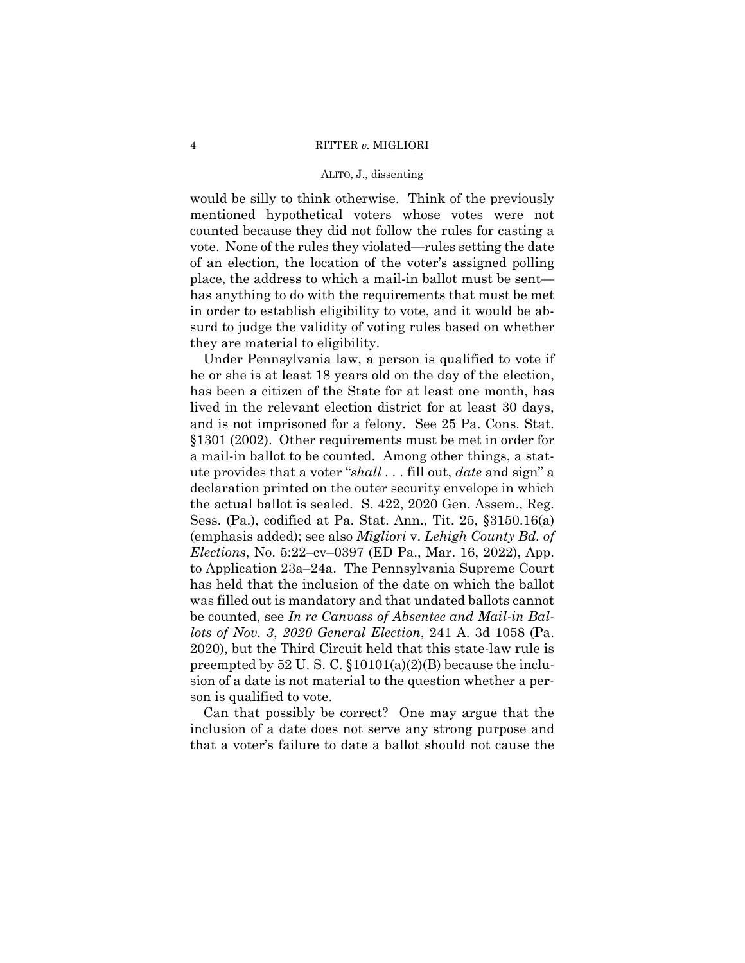would be silly to think otherwise. Think of the previously mentioned hypothetical voters whose votes were not counted because they did not follow the rules for casting a vote. None of the rules they violated—rules setting the date of an election, the location of the voter's assigned polling place, the address to which a mail-in ballot must be sent has anything to do with the requirements that must be met in order to establish eligibility to vote, and it would be absurd to judge the validity of voting rules based on whether they are material to eligibility.

Under Pennsylvania law, a person is qualified to vote if he or she is at least 18 years old on the day of the election, has been a citizen of the State for at least one month, has lived in the relevant election district for at least 30 days, and is not imprisoned for a felony. See 25 Pa. Cons. Stat. §1301 (2002). Other requirements must be met in order for a mail-in ballot to be counted. Among other things, a statute provides that a voter "*shall . . .* fill out, *date* and sign" a declaration printed on the outer security envelope in which the actual ballot is sealed. S. 422, 2020 Gen. Assem., Reg. Sess. (Pa.), codified at Pa. Stat. Ann., Tit. 25, §3150.16(a) (emphasis added); see also *Migliori* v. *Lehigh County Bd. of Elections*, No. 5:22–cv–0397 (ED Pa., Mar. 16, 2022), App. to Application 23a–24a. The Pennsylvania Supreme Court has held that the inclusion of the date on which the ballot was filled out is mandatory and that undated ballots cannot be counted, see *In re Canvass of Absentee and Mail-in Ballots of Nov. 3*, *2020 General Election*, 241 A. 3d 1058 (Pa. 2020), but the Third Circuit held that this state-law rule is preempted by  $52 \text{ U. S. C. } $10101(a)(2)(B)$  because the inclusion of a date is not material to the question whether a person is qualified to vote.

Can that possibly be correct? One may argue that the inclusion of a date does not serve any strong purpose and that a voter's failure to date a ballot should not cause the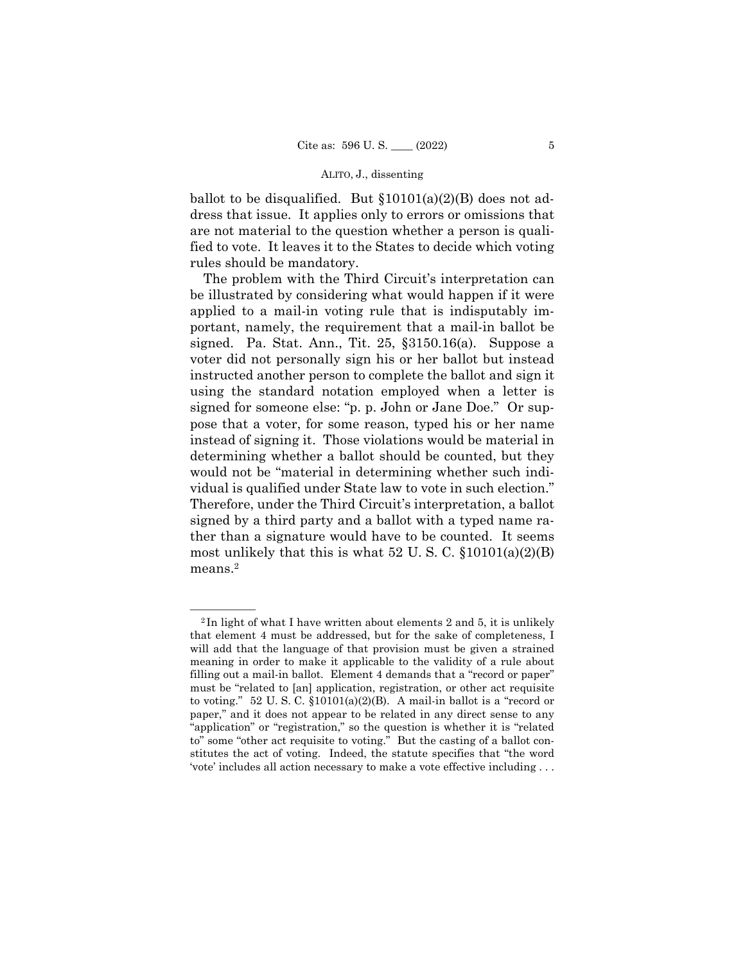ballot to be disqualified. But  $$10101(a)(2)(B)$  does not address that issue. It applies only to errors or omissions that are not material to the question whether a person is qualified to vote. It leaves it to the States to decide which voting rules should be mandatory.

The problem with the Third Circuit's interpretation can be illustrated by considering what would happen if it were applied to a mail-in voting rule that is indisputably important, namely, the requirement that a mail-in ballot be signed. Pa. Stat. Ann., Tit. 25, §3150.16(a). Suppose a voter did not personally sign his or her ballot but instead instructed another person to complete the ballot and sign it using the standard notation employed when a letter is signed for someone else: "p. p. John or Jane Doe." Or suppose that a voter, for some reason, typed his or her name instead of signing it. Those violations would be material in determining whether a ballot should be counted, but they would not be "material in determining whether such individual is qualified under State law to vote in such election." Therefore, under the Third Circuit's interpretation, a ballot signed by a third party and a ballot with a typed name rather than a signature would have to be counted. It seems most unlikely that this is what  $52 \text{ U.S. C. }$  \$10101(a)(2)(B) means.2

 $2$ In light of what I have written about elements 2 and 5, it is unlikely that element 4 must be addressed, but for the sake of completeness, I will add that the language of that provision must be given a strained meaning in order to make it applicable to the validity of a rule about filling out a mail-in ballot. Element 4 demands that a "record or paper" must be "related to [an] application, registration, or other act requisite to voting." 52 U. S. C. §10101(a)(2)(B). A mail-in ballot is a "record or paper," and it does not appear to be related in any direct sense to any "application" or "registration," so the question is whether it is "related to" some "other act requisite to voting." But the casting of a ballot constitutes the act of voting. Indeed, the statute specifies that "the word 'vote' includes all action necessary to make a vote effective including . . .